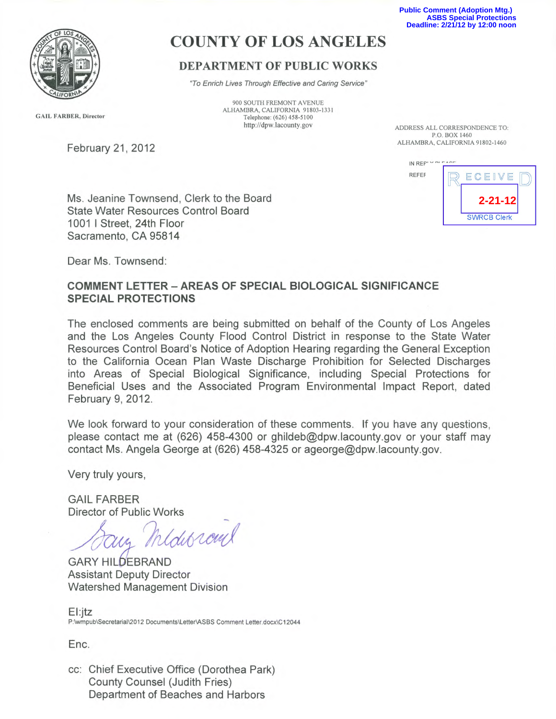**Public Comment (Adoption Mtg.) ASBS Special Protections Deadline: 2/21/12 by 12:00 noon**



# COUNTY OF LOS ANGELES

## DEPARTMENT OF PUBLIC WORKS

"To Enrich Lives Through Effective and Caring Service"

900 SOUTH FREMONT AVENUE ALHAMBRA, CALIFORNIA 91803-1331 Telephone: (626) 458-5100 http://dpw.lacounty.gov ADDRESS ALL CORRESPONDENCE TO:

P.O. BOX 1460 ALHAMBRA, CALIFORNIA 91802-1460

IN REPLY DI EACE REFER DECEIVE **2-21-12SWRCB Clerk** 

**GAIL FARBER, Director** 

February 21, 2012

Ms. Jeanine Townsend, Clerk to the Board State Water Resources Control Board 1001 I Street, 24th Floor Sacramento, CA 95814

Dear Ms. Townsend:

#### COMMENT LETTER - AREAS OF SPECIAL BIOLOGICAL SIGNIFICANCE SPECIAL PROTECTIONS

The enclosed comments are being submitted on behalf of the County of Los Angeles and the Los Angeles County Flood Control District in response to the State Water Resources Control Board's Notice of Adoption Hearing regarding the General Exception to the California Ocean Plan Waste Discharge Prohibition for Selected Discharges into Areas of Special Biological Significance, including Special Protections for Beneficial Uses and the Associated Program Environmental Impact Report, dated February 9, 2012.

We look forward to your consideration of these comments. If you have any questions, please contact me at (626) 458-4300 or ghildeb@dpw.lacounty.gov or your staff may contact Ms. Angela George at (626) 458-4325 or ageorge@dpw.lacounty.gov.

Very truly yours,

GAIL FARBER Director of Public Works

 $\overline{\phantom{a}}$ redus ram

GARY HILDEBRAND Assistant Deputy Director Watershed Management Division

El:jtz P:\wmpub\Secretarial\2012 Documents\Letter\ASBS Comment Letter.docx\C12044

Enc.

cc: Chief Executive Office (Dorothea Park) County Counsel (Judith Fries) Department of beaches and Harbors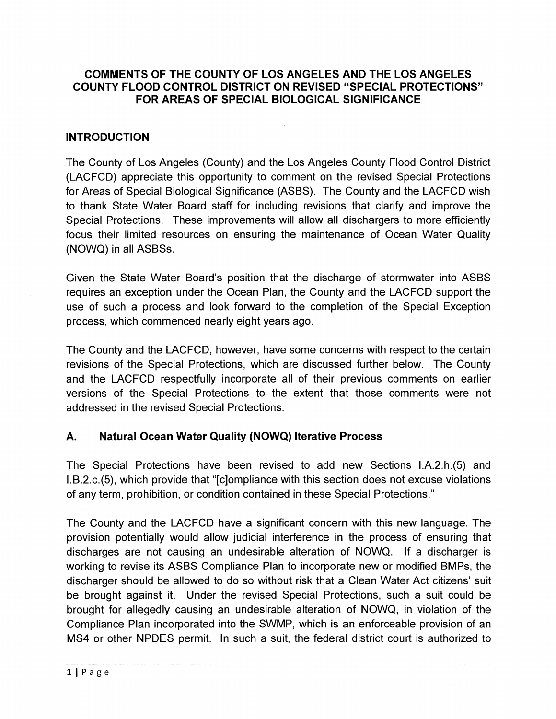#### COMMENTS OF THE COUNTY OF LOS ANGELES AND THE LOS ANGELES COUNTY FLOOD CONTROL DISTRICT ON REVISED "SPECIAL PROTECTIONS" FOR AREAS OF SPECIAL BIOLOGICAL SIGNIFICANCE.

#### INTRODUCTION

The County of Los Angeles (County) and the Los Angeles County Flood Control District (LACFCD) appreciate this opportunity to comment on the revised Special Protections for Areas of Special Biological Significance (ASBS). The County and the LACFCD wish to thank State Water Board staff for including revisions that clarify and improve the Special Protections. These improvements will allow all dischargers to more efficiently focus their limited resources on ensuring the maintenance of Ocean Water Quality (NOWQ) in all ASBSs.

Given the State Water Board's position that the discharge of stormwater into ASBS requires an exception under the Ocean Plan, the County and the LACFCD support the use of such a process and look forward to the completion of the Special Exception process, which commenced nearly eight years ago.

The County and the LACFCD, however, have some concerns with respect to the certain revisions of the Special Protections, which are discussed further below. The County and the LACFCD respectfully incorporate all of their previous comments on earlier versions of the Special Protections to the extent that those comments were not addressed in the revised Special Protections.

## A. Natural Ocean Water Quality (NOWQ) Iterative Process

The Special Protections have been revised to add new Sections I.A.2.h.(5) and I.B.2.c.(5), which provide that "[c]ompliance with this section does not excuse violations of any term, prohibition, or condition contained in these Special Protections."

The County and the LACFCD have a significant concern with this new language. The provision potentially would allow judicial interference in the process of ensuring that discharges are not causing an undesirable alteration of NOWQ. If a discharger is working to revise its ASBS Compliance Plan to incorporate new or modified BMPs, the discharger should be allowed to do so without risk that a Clean Water Act citizens' suit be brought against it. Under the revised Special Protections, such a suit could be brought for allegedly causing an undesirable alteration of NOWQ, in violation of the Compliance Plan incorporated into the SWMP, which is an enforceable provision of an MS4 or other NPDES permit. In such a suit, the federal district court is authorized to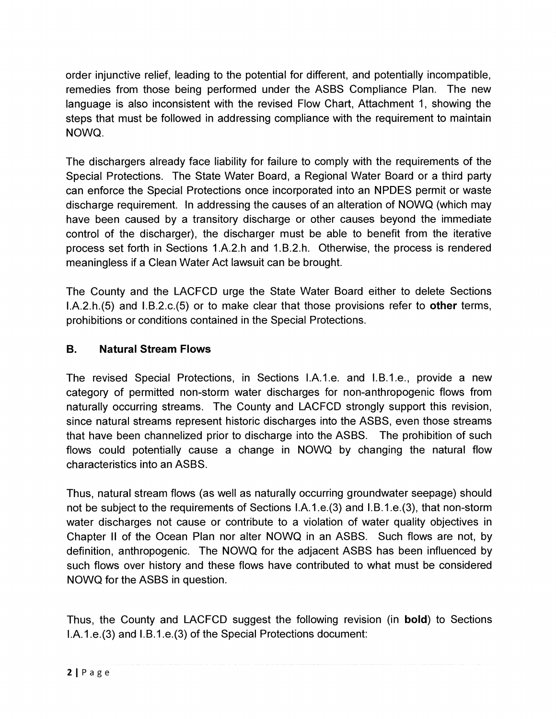order injunctive relief, leading to the potential for different, and potentially incompatible, remedies from those being performed under the ASBS Compliance Plan. The new language is also inconsistent with the revised Flow Chart, Attachment 1, showing the steps that must be followed in addressing compliance with the requirement to maintain NOWQ.

The dischargers already face liability for failure to comply with the requirements of the Special Protections. The State Water Board, a Regional Water Board or a third party can enforce the Special Protections once incorporated into an NPDES permit or waste discharge requirement. In addressing the causes of an alteration of NOWQ (which may have been caused by a transitory discharge or other causes beyond the immediate control of the discharger), the discharger must be able to benefit from the iterative process set forth in Sections 1.A.2.h and 1.B.2.h. Otherwise, the process is rendered meaningless if a Clean Water Act lawsuit can be brought.

The County and the LACFCD urge the State Water Board either to delete Sections I.A.2.h.(5) and 1.B.2.c.(5) or to make clear that those provisions refer to other terms, prohibitions or conditions contained in the Special Protections.

## B. Natural Stream Flows

The revised Special Protections, in Sections I.A.1.e. and I.B.1.e., provide a new category of permitted non-storm water discharges for non-anthropogenic flows from naturally occurring streams. The County and LACFCD strongly support this revision, since natural streams represent historic discharges into the ASBS, even those streams that have been channelized prior to discharge into the ASBS. The prohibition of such flows could potentially cause a change in NOWQ by changing the natural flow characteristics into an ASBS.

Thus, natural stream flows (as well as naturally occurring groundwater seepage) should not be subject to the requirements of Sections I.A.1.e.(3) and 1.B.1.e.(3), that non-storm water discharges not cause or contribute to a violation of water quality objectives in Chapter II of the Ocean Plan nor alter NOWQ in an ASBS. Such flows are not, by definition, anthropogenic. The NOWQ for the adjacent ASBS has been influenced by such flows over history and these flows have contributed to what must be considered NOWQ for the ASBS in question.

Thus, the County and LACFCD suggest the following revision (in **bold**) to Sections I.A.1.e. (3) and I.B.1.e. (3) of the Special Protections document: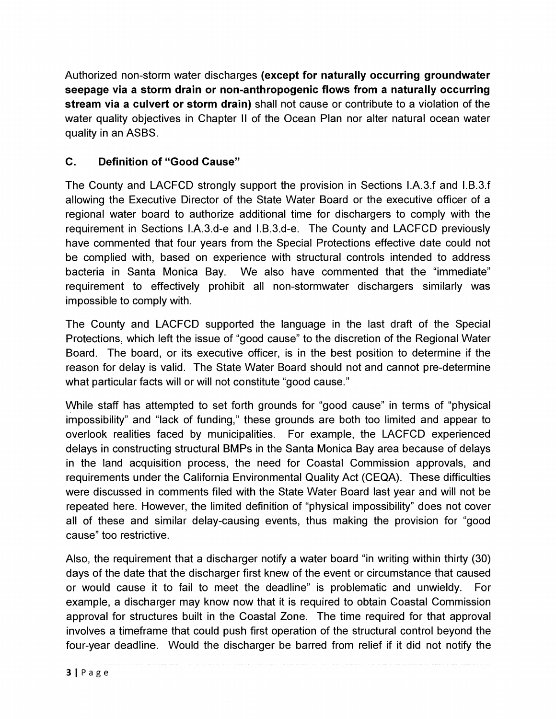Authorized non-storm water discharges (except for naturally occurring groundwater seepage via a storm drain or non-anthropogenic flows from a naturally occurring stream via a culvert or storm drain) shall not cause or contribute to a violation of the water quality objectives in Chapter II of the Ocean Plan nor alter natural ocean water quality in an ASBS.

# C. Definition of "Good Cause"

The County and LACFCD strongly support the provision in Sections I.A.3.f and 1.B.3.f allowing the Executive Director of the State Water Board or the executive officer of a regional water board to authorize additional time for dischargers to comply with the requirement in Sections I.A.3.d-e and 1.B.3.d-e. The County and LACFCD previously have commented that four years from the Special Protections effective date could not be complied with, based on experience with structural controls intended to address bacteria in Santa Monica Bay. We also have commented that the "immediate" requirement to effectively prohibit all non-stormwater dischargers similarly was impossible to comply with.

The County and LACFCD supported the language in the last draft of the Special Protections, which left the issue of "good cause" to the discretion of the Regional Water Board. The board, or its executive officer, is in the best position to determine if the reason for delay is valid. The State Water Board should not and cannot pre-determine what particular facts will or will not constitute "good cause."

While staff has attempted to set forth grounds for "good cause" in terms of "physical impossibility" and "lack of funding," these grounds are both too limited and appear to overlook realities faced by municipalities. For example, the LACFCD experienced delays in constructing structural BMPs in the Santa Monica Bay area because of delays in the land acquisition process, the need for Coastal Commission approvals, and requirements under the California Environmental Quality Act (CEQA). These difficulties were discussed in comments filed with the State Water Board last year and will not be repeated here. However, the limited definition of "physical impossibility" does not cover all of these and similar delay-causing events, thus making the provision for "good cause" too restrictive.

Also, the requirement that a discharger notify a water board "in writing within thirty (30) days of the date that the discharger first knew of the event or circumstance that caused or would cause it to fail to meet the deadline" is problematic and unwieldy. For example, a discharger may know now that it is required to obtain Coastal Commission approval for structures built in the Coastal Zone. The time required for that approval involves a timeframe that could push first operation of the structural control beyond the four-year deadline. Would the discharger be barred from relief if it did not notify the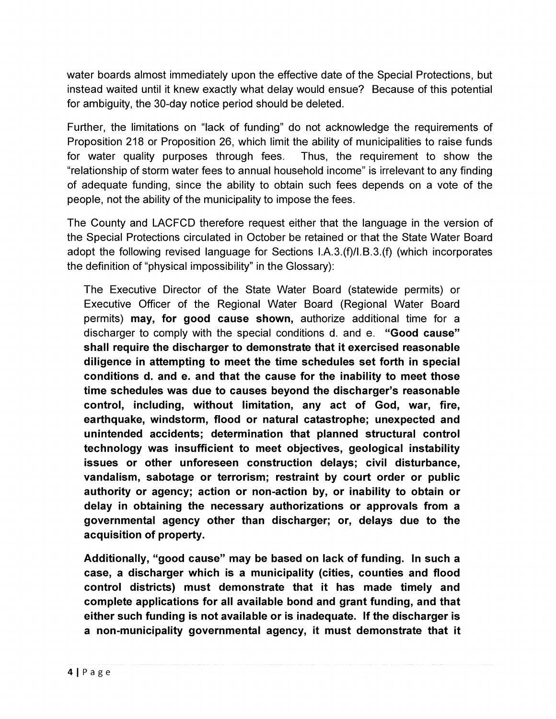water boards almost immediately upon the effective date of the Special Protections, but instead waited until it knew exactly what delay would ensue? Because of this potential for ambiguity, the 30-day notice period should be deleted.

Further, the limitations on "lack of funding" do not acknowledge the requirements of Proposition 218 or Proposition 26, which limit the ability of municipalities to raise funds for water quality purposes through fees. Thus, the requirement to show the "relationship of storm water fees to annual household income" is irrelevant to any finding of adequate funding, since the ability to obtain such fees depends on a vote of the people, not the ability of the municipality to impose the fees.

The County and LACFCD therefore request either that the language in the version of the Special Protections circulated in October be retained or that the State Water Board adopt the following revised language for Sections  $I.A.3(f)/I.B.3(f)$  (which incorporates the definition of "physical impossibility" in the Glossary):

The Executive Director of the State Water Board (statewide permits) or Executive Officer of the Regional Water Board (Regional Water Board permits) may, for good cause shown, authorize additional time for a discharger to comply with the special conditions d. and e. "Good cause" shall require the discharger to demonstrate that it exercised reasonable diligence in attempting to meet the time schedules set forth in special conditions d. and e. and that the cause for the inability to meet those time schedules was due to causes beyond the discharger's reasonable control, including, without limitation, any act of God, war, fire, earthquake, windstorm, flood or natural catastrophe; unexpected and unintended accidents; determination that planned structural control technology was insufficient to meet objectives, geological instability issues or other unforeseen construction delays; civil disturbance, vandalism, sabotage or terrorism; restraint by court order or public authority or agency; action or non-action by, or inability to obtain or delay in obtaining the necessary authorizations or approvals from a governmental agency other than discharger; or, delays due to the acquisition of property.

Additionally, "good cause" may be based on lack of funding. In such a case, a discharger which is a municipality (cities, counties and flood control districts) must demonstrate that it has made timely and complete applications for all available bond and grant funding, and that either such funding is not available or is inadequate. If the discharger is a non-municipality governmental agency, it must demonstrate that it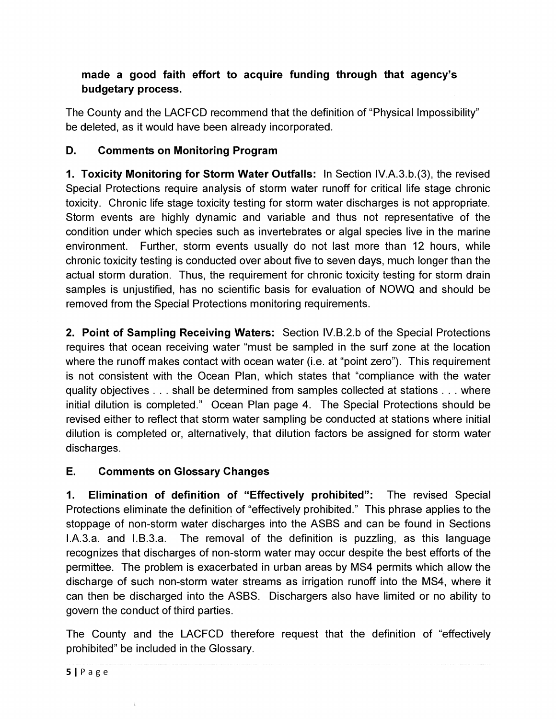# made a good faith effort to acquire funding through that agency's budgetary process.

The County and the LACFCD recommend that the definition of "Physical Impossibility" be deleted, as it would have been already incorporated.

# D. Comments on Monitoring Program

1. Toxicity Monitoring for Storm Water Outfalls: In Section IV.A.3.b.(3), the revised Special Protections require analysis of storm water runoff for critical life stage chronic toxicity. Chronic life stage toxicity testing for storm water discharges is not appropriate. Storm events are highly dynamic and variable and thus not representative of the condition under which species such as invertebrates or algal species live in the marine environment. Further, storm events usually do not last more than 12 hours, while chronic toxicity testing is conducted over about five to seven days, much longer than the actual storm duration. Thus, the requirement for chronic toxicity testing for storm drain samples is unjustified, has no scientific basis for evaluation of NOWQ and should be removed from the Special Protections monitoring requirements.

2. Point of Sampling Receiving Waters: Section IV.B.2.b of the Special Protections requires that ocean receiving water "must be sampled in the surf zone at the location where the runoff makes contact with ocean water (i.e. at "point zero"). This requirement is not consistent with the Ocean Plan, which states that "compliance with the water quality objectives . . . shall be determined from samples collected at stations . . . where initial dilution is completed." Ocean Plan page 4. The Special Protections should be revised either to reflect that storm water sampling be conducted at stations where initial dilution is completed or, alternatively, that dilution factors be assigned for storm water discharges.

## E. Comments on Glossary Changes

1. Elimination of definition of "Effectively prohibited": The revised Special Protections eliminate the definition of "effectively prohibited." This phrase applies to the stoppage of non-storm water discharges into the ASBS and can be found in Sections  $I.A.3.a.$  and  $I.B.3.a.$  The removal of the definition is puzzling, as this language recognizes that discharges of non-storm water may occur despite the best efforts of the permittee. The problem is exacerbated in urban areas by MS4 permits which allow the discharge of such non-storm water streams as irrigation runoff into the MS4, where it can then be discharged into the ASBS. Dischargers also have limited or no ability to govern the conduct of third parties.

The County and the LACFCD therefore request that the definition of "effectively prohibited" be included in the Glossary.